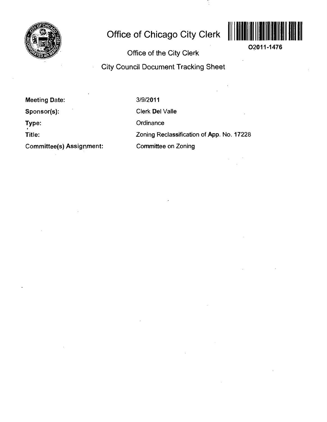

# **Office of Chicago City Clerk**



**02011-1476** 

**Office of the City Clerk** 

# **City Council Document Tracking Sheet**

**Meeting Date:** 

**Sponsor(s):** 

**Type:** 

**Title:** 

**Committee(s) Assignment:** 

3/9/2011

Clerk Del Valle

**Ordinance** 

Zoning Reclassification of App. No. 17228

Committee on Zoning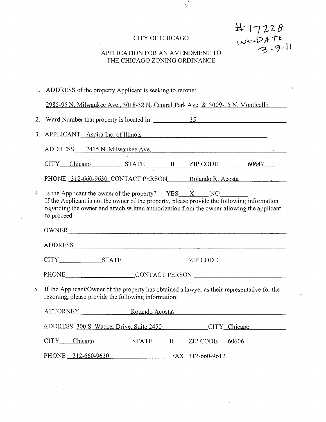# CITY OF CHICAGO

 $\frac{1}{2}$ 

 $# 17228$ <br> $W+DATE$ <br> $3-9-11$ 

 $\ddot{\phantom{0}}$ 

 $\ldots$ 

# APPLICATION FOR AN AMENDMENT TO THE CHICAGO ZONING ORDINANCE

|    | 1. ADDRESS of the property Applicant is seeking to rezone:                                                                                                                                                                                                                |  |  |  |
|----|---------------------------------------------------------------------------------------------------------------------------------------------------------------------------------------------------------------------------------------------------------------------------|--|--|--|
|    | 2985-95 N. Milwaukee Ave., 3018-32 N. Central Park Ave. & 3009-15 N. Monticello                                                                                                                                                                                           |  |  |  |
| 2. |                                                                                                                                                                                                                                                                           |  |  |  |
|    | 3. APPLICANT Aspira Inc. of Illinois                                                                                                                                                                                                                                      |  |  |  |
|    | ADDRESS 2415 N. Milwaukee Ave.                                                                                                                                                                                                                                            |  |  |  |
|    | CITY Chicago STATE IL ZIP CODE 60647                                                                                                                                                                                                                                      |  |  |  |
|    | PHONE 312-660-9630 CONTACT PERSON Rolando R. Acosta                                                                                                                                                                                                                       |  |  |  |
|    | 4. Is the Applicant the owner of the property? $YES\_ X \tN0$<br>If the Applicant is not the owner of the property, please provide the following information<br>regarding the owner and attach written authorization from the owner allowing the applicant<br>to proceed. |  |  |  |
|    | OWNER                                                                                                                                                                                                                                                                     |  |  |  |
|    |                                                                                                                                                                                                                                                                           |  |  |  |
|    |                                                                                                                                                                                                                                                                           |  |  |  |
|    | PHONE CONTACT PERSON                                                                                                                                                                                                                                                      |  |  |  |
| 5. | If the Applicant/Owner of the property has obtained a lawyer as their representative for the<br>rezoning, please provide the following information:                                                                                                                       |  |  |  |
|    | ATTORNEY Rolando Acosta                                                                                                                                                                                                                                                   |  |  |  |
|    | ADDRESS 300 S. Wacker Drive, Suite 2450 CITY Chicago                                                                                                                                                                                                                      |  |  |  |
|    | $CITY$ Chicago STATE IL ZIP CODE 60606                                                                                                                                                                                                                                    |  |  |  |
|    | PHONE 312-660-9630<br>FAX 312-660-9612                                                                                                                                                                                                                                    |  |  |  |

 $\mathcal{L}$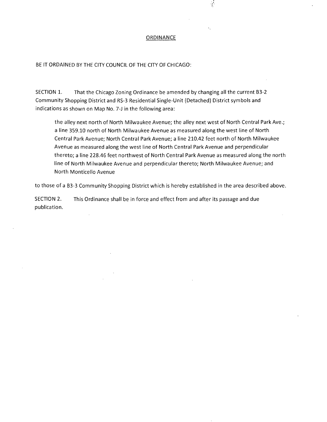#### **ORDINANCE**

 $\frac{1}{2}$ 

BE IT ORDAINED BY THE CITY COUNCIL OF THE CITY OF CHICAGO:

SECTION 1. That the Chicago Zoning Ordinance be amended by changing all the current B3-2 Community Shopping District and RS-3 Residential Single-Unit (Detached) District symbols and indications as shown on Map No. 7-J in the following area:

the alley next north of North Milwaukee Avenue; the alley next west of North Central Park Ave.; a line 359.10 north of North Milwaukee Avenue as measured along the west line of North Central Park Avenue; North Central Park Avenue; a line 210.42 feet north of North Milwaukee Avenue as measured along the west line of North Central Park Avenue and perpendicular thereto; a line 228.46 feet northwest of North Central Park Avenue as measured along the north line of North Milwaukee Avenue and perpendicular thereto; North Milwaukee Avenue; and North Monticello Avenue

to those of a B3-3 Community Shopping District which is hereby established in the area described above.

SECTION 2. This Ordinance shall be in force and effect from and after its passage and due publication.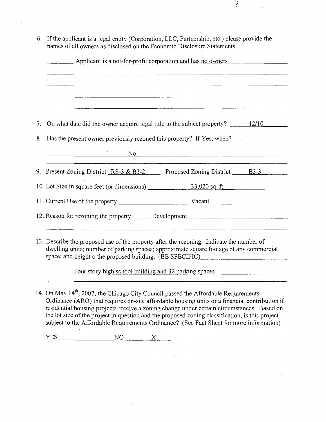6. If the applicant is a legal entity (Corporation, LLC, Partnership, etc.) please provide the names of all owners as disclosed on the Economic Disclosure Statements.

 $\frac{1}{2}$ 

| 7. On what date did the owner acquire legal title to the subject property? _________________________<br>8. Has the present owner previously rezoned this property? If Yes, when?<br>9. Present Zoning District RS-3 & B3-2 Proposed Zoning District B3-3 | No |                                                                                                                                                                                                                                                                                                                                                                                                                                                                                                                                                  |
|----------------------------------------------------------------------------------------------------------------------------------------------------------------------------------------------------------------------------------------------------------|----|--------------------------------------------------------------------------------------------------------------------------------------------------------------------------------------------------------------------------------------------------------------------------------------------------------------------------------------------------------------------------------------------------------------------------------------------------------------------------------------------------------------------------------------------------|
|                                                                                                                                                                                                                                                          |    |                                                                                                                                                                                                                                                                                                                                                                                                                                                                                                                                                  |
|                                                                                                                                                                                                                                                          |    |                                                                                                                                                                                                                                                                                                                                                                                                                                                                                                                                                  |
|                                                                                                                                                                                                                                                          |    |                                                                                                                                                                                                                                                                                                                                                                                                                                                                                                                                                  |
|                                                                                                                                                                                                                                                          |    |                                                                                                                                                                                                                                                                                                                                                                                                                                                                                                                                                  |
|                                                                                                                                                                                                                                                          |    |                                                                                                                                                                                                                                                                                                                                                                                                                                                                                                                                                  |
|                                                                                                                                                                                                                                                          |    |                                                                                                                                                                                                                                                                                                                                                                                                                                                                                                                                                  |
|                                                                                                                                                                                                                                                          |    |                                                                                                                                                                                                                                                                                                                                                                                                                                                                                                                                                  |
|                                                                                                                                                                                                                                                          |    |                                                                                                                                                                                                                                                                                                                                                                                                                                                                                                                                                  |
|                                                                                                                                                                                                                                                          |    |                                                                                                                                                                                                                                                                                                                                                                                                                                                                                                                                                  |
|                                                                                                                                                                                                                                                          |    |                                                                                                                                                                                                                                                                                                                                                                                                                                                                                                                                                  |
|                                                                                                                                                                                                                                                          |    | 12. Reason for rezoning the property: <u>Development</u> example and the set of the property:<br>13. Describe the proposed use of the property after the rezoning. Indicate the number of<br>dwelling units; number of parking spaces; approximate square footage of any commercial<br>Four story high school building and 32 parking spaces<br>14. On May 14 <sup>th</sup> , 2007, the Chicago City Council passed the Affordable Requirements<br>Ordinance (ARO) that requires on-site affordable housing units or a financial contribution if |

residential housing projects receive a zoning change under certain circumstances. Based on the lot size of the project in question and the proposed zoning classification, is this project subject to the Affordable Requirements Ordinance? (See Fact Sheet for more information)

 $YES$  NO  $X$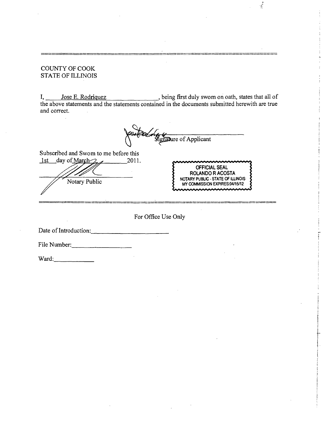## COUNTY OF COOK STATE OF ILLINOIS

I, Jose E. Rodriquez being first duly swom on oath, states that all of the above statements and the statements contained in the documents submitted herewith are true and correct.



Subscribed and Swom to me before this

 $1$ st day of March $\mathcal{D}_{\mathcal{A}}$  2011. Notary Public



 $\frac{1}{2}$ 

For Office Use Only

Date of Introduction:,

File Number:

Ward: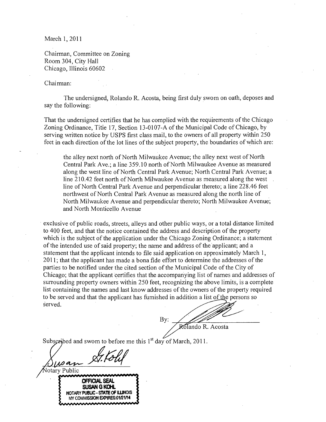March 1,2011

Chairman, Committee on Zoning Room 304, City Hall Chicago, Illinois 60602

Chaimian:

otary Public

The undersigned, Rolando R. Acosta, being first duly swom on oath, deposes and say the following:

That the undersigned certifies that he has complied with the requirements of the Chicago Zoning Ordinance, Titie 17, Section 13-0107-A of the Municipal Code of Chicago, by serving written notice by USPS first class mail, to the owners of all property within 250 feet in each direction of the lot lines of the subject property, the boundaries of which are:

the alley next north of North Milwaukee Avenue; the alley next west of North Central Park Ave.; a line 359.10 north of North Milwaukee Avenue as measured along the west line of North Central Park Avenue; North Central Park Avenue; a line 210.42 feet north of North Milwaukee Avenue as measured along the west line of North Central Park Avenue and perpendicular thereto; a line 228.46 feel northwest of North Central Park Avenue as measured along the north line of North Milwaukee Avenue and perpendicular thereto; North Milwaukee Avenue; and North Monticello Avenue

exclusive of public roads, streets, alleys and other public ways, or a total distance limited to 400 feet, and that the notice contained the address and description of the property which is the subject of the application under the Chicago Zoning Ordinance; a statement of the intended use of said property; the name and address of the applicant; and a statement that the applicant intends to file said application on approximately March 1, 2011; that the applicant has made a bona fide effort to determine the addresses of the parties to be notified under the cited section of the Municipal Code of the City of Chicago; that the applicant certifies that the accompanying list of names and addresses of surrounding property owners within 250 feet, recognizing the above limits, is a complete list containing the names and last know addresses of the owners of the property required to be served and that the applicant has fumished in addition a list^fthe persons so served.

By: Rolando R. Acosta

Subscribed and swom to before me this 1<sup>st</sup> day of March, 2011.

**OFFICIAL SEAL SUSAN G KOHL NOTARY PUBLIC - STATE OF ILUNOIS MY COMMISSION EXPIRES:01/21/14**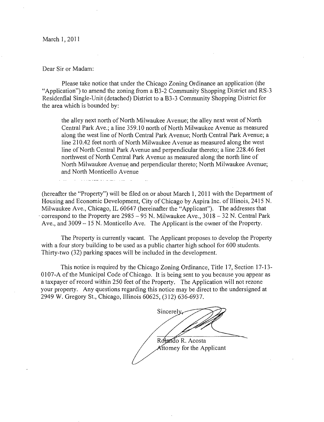March 1, 2011

Dear Sir or Madam:

<u> 1966 - Andrew Stadt Berlin, amerikan b</u>

Please take notice that under the Chicago Zoning Ordinance an application (the "Application") to amend the zoning from a B3-2 Community Shopping District and RS-3 Residenfial Single-Unit (detached) District to a B3-3 Community Shopping District for the area which is bounded by:

the alley next north of North Milwaukee Avenue; the alley next west of North Central Park Ave.; a line 359.10 north of North Milwaukee Avenue as measured along the west line of North Central Park Avenue; North Central Park Avenue; a line 210.42 feet north of North Milwaukee Avenue as measured along the west line of North Central Park Avenue and perpendicular thereto; a line 228.46 feet northwest of North Central Park Avenue as measured along the north line of North Milwaukee Avenue and perpendicular thereto; North Milwaukee Avenue; and North Monticello Avenue

(hereafter the "Property") will be filed on or about March 1, 2011 with the Department of Housing and Economic Development, City of Chicago by Aspira Inc. of Illinois, 2415 N. Milwaukee Ave., Chicago, IL 60647 (hereinafter the "Applicant"). The addresses that  $\cdot$  correspond to the Property are 2985 - 95 N. Milwaukee Ave., 3018 - 32 N. Central Park Ave., and 3009 – 15 N. Monticello Ave. The Applicant is the owner of the Property.

The Property is currently vacant. The Applicant proposes to develop the Property with a four story building to be used as a public charter high school for 600 students. Thirty-two (32) parking spaces will be included in the development.

This notice is required by the Chicago Zoning Ordinance, Title 17, Section 17-13- 0107-A of the Municipal Code of Chicago. It is being sent to you because you appear as a taxpayer of record within 250 feet of the Property. The Application will not rezone your property. Any questions regarding this notice may be direct to the undersigned at 2949 W. Gregory St., Chicago, Illinois 60625, (312) 636-6937.

Sincerel<sub>Y</sub> Rotando R. Acosta Attomey for the Applicant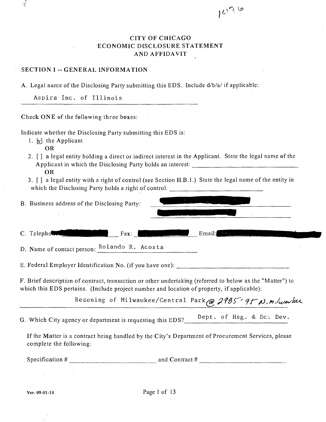# **CITYOFCHICAGO ECONOMIC DISCLOSURE STATEMENT AND AFFIDAVIT**

**,0** 

# **SECTION I -- GENERAL INFORMATION**

A. Legal name of the Disclosing Party submitting this EDS. Include d/b/a/ if applicable:

Aspira Inc. of Illinois

**Check ONE of the following three boxes:** 

Indicate whether the Disclosing Party submitting this EDS is:

- 1.  $[x]$  the Applicant
	- OR

 $\frac{1}{2}$ 

- 2. [] a legal entity holding a direct or indirect interest in the Applicant. State the legal name of the Applicant in which the Disclosing Party holds an interest: OR
- 3. [ ] a legal entity with a right of control (see Section II.B.l.) State the legal name of the entity in which the Disclosing Party holds a right of control:

| B. Business address of the Disclosing Party: |                     |  |  |
|----------------------------------------------|---------------------|--|--|
|                                              |                     |  |  |
| C. Telephonome<br>Fax:                       | Email: $\mathbf{F}$ |  |  |
| D. Name of contact person: Rolando R. Acosta |                     |  |  |

E. Federal Employer Identification No. (if you have one):

F. Brief description of contract, transaction or other undertaking (referred to below as the "Matter") to which this EDS pertains. (Include project number and location of property, if applicable):

Rezoning of Milwaukee/Central Park @ 2985 - 95 N. M. / www.

G Which City agency or department is requesting this  $FDS2$  Dept. of Hsg. & Ec. Dev. G. Which City agency or department is requesting this EDS?

If the Matter is a contract being handled by the City's Department of Procurement Services, please cornplete the following:

Specification  $\#$  and Contract  $\#$  and Contract  $\#$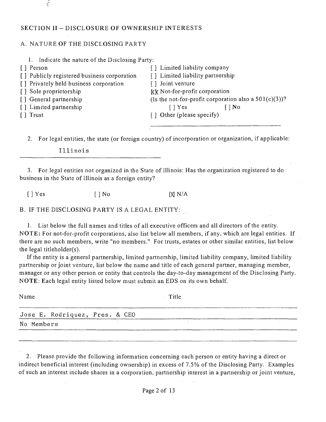## **SECTION II -- DISCLOSURE OF OWNERSHIP INTERESTS**

## A. NATURE OF THE DISCLOSING PARTY

| Indicate the nature of the Disclosing Party:<br>1. |                                                          |
|----------------------------------------------------|----------------------------------------------------------|
| [ ] Person                                         | [] Limited liability company                             |
| [] Publicly registered business corporation        | [] Limited liability partnership                         |
| [] Privately held business corporation             | Joint venture                                            |
| [] Sole proprietorship                             | kk Not-for-profit corporation                            |
| [] General partnership                             | (Is the not-for-profit corporation also a $501(c)(3)$ )? |
| [] Limited partnership                             | $\lceil \cdot \rceil$ Yes<br>$\bigcap$ No                |
| [ ] Trust                                          | [] Other (please specify)                                |
|                                                    |                                                          |

2. For legal entities, the state (or foreign country) of incorporation or organization, if applicable:

## Illinois

3. For legal entities not organized in the State of Illinois: Has the organization registered to do business in the State of Illinois as a foreign entity?

 $[$  | Yes  $[$  | No  $[$   $]$  Yes  $[$   $]$  N/A

B. IF THE DISCLOSING PARTY IS A LEGAL ENTITY:

1. List below the full names and titles of all executive officers and all directors of the entity. NOTE: For not-for-profit corporations, also list below all members, if any, which are legal entities. If there are no such members, write "no members." For trusts, estates or other similar entities, list below the legal titleholder(s).

If the entity is a general partnership, limited partnership, limited liability company, limited liability partnership or joint venture, list below the name and title of each general partner, managing member, manager or any other person or entity that controls the day-to-day management of the Disclosing Party. NOTE: Each legal entity listed below must submit an EDS on its own behalf.

| Name                           | Title |  |
|--------------------------------|-------|--|
| Jose E. Rodriquez, Pres. & CEO |       |  |
| No Members                     |       |  |
|                                |       |  |

2. Please provide the following information concerning each person or entity having a direct or indirect beneficial interest (including ownership) in excess of 7.5% of the Disclosing Party. Examples of such an interest include shares in a corporation, partnership interest in a partnership or joint venture,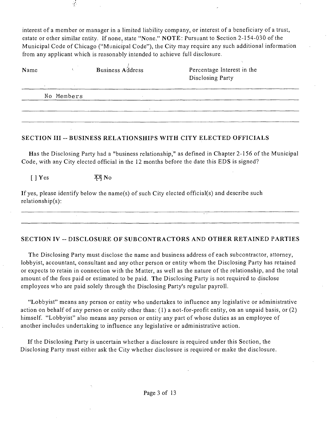interest of a member or manager in a limited liability company, or interest of a beneficiary of a trust, estate or other similar entity. If none, state "None." NOTE: Pursuant to Section 2-154-030 of the Municipal Code of Chicago ("Municipal Code"), the City may require any such additional information from any applicant which is reasonably intended to achieve full disclosure.

| Name | $\sim$ | $\sim$     | <b>Business Address</b> | Percentage Interest in the<br>Disclosing Party |  |
|------|--------|------------|-------------------------|------------------------------------------------|--|
|      |        | No Members |                         |                                                |  |
|      |        |            | $\lambda$               |                                                |  |
|      |        |            |                         |                                                |  |

# **SECTION III - BUSINESS RELATIONSHIPS WITH CITY ELECTED OFFICIALS**

Has the Disclosing Party had a "business relationship," as defined in Chapter 2-156 of the Municipal Code, with any City elected official in the 12 months before the date this EDS is signed?

 $[ | Yes$   $XXNo$ 

If yes, please identify below the name(s) of such City elected official(s) and describe such relationship(s):

# **SECTION IV ~ DISCLOSURE OF SUBCONTRACTORS AND OTHER RETAINED PARTIES**

The Disclosing Party must disclose the name and business address of each subcontractor, attorney, lobbyist, accountant, consultant and any other person or entity whom the Disclosing Party has retained or expects to retain in connection with the Matter, as well as the nature of the relationship, and the total amount of the fees paid or estimated to be paid. The Disclosing Party is not required to disclose employees who are paid solely through the Disclosing Party's regular payroll.

"Lobbyist" means any person or entity who undertakes to influence any legislative or administrative action on behalf of any person or entity other than: (1) a not-for-profit entity, on an unpaid basis, or (2) himself. "Lobbyist" also means any person or entity any part of whose duties as an employee of another includes undertaking to influence any legislative or administrative action.

If the Disclosing Party is uncertain whether a disclosure is required under this Section, the Disclosing Party must either ask the City whether disclosure is required or make the disclosure.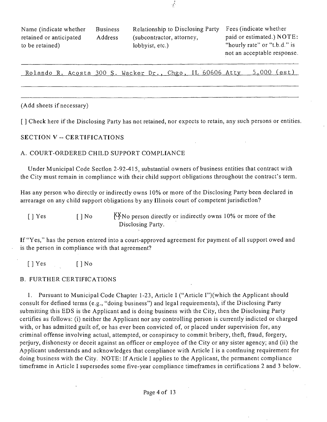| Name (indicate whether) | <b>Business</b> | Relationship to Disclosing Party | Fees (indicate whether       |
|-------------------------|-----------------|----------------------------------|------------------------------|
| retained or anticipated | Address         | (subcontractor, attorney,        | paid or estimated.) NOTE:    |
| to be retained)         |                 | lobbyist, etc.)                  | "hourly rate" or "t.b.d." is |
|                         |                 |                                  | not an acceptable response.  |

Rolando R. Acosta 300 S. Wacker Dr., Chgo, IL 60606 Atty 5,000 (est)

#### (Add sheets if necessary)

**[ ] Check here if the Disclosing Party has not retained, nor expects to retain, any such persons or entities.** 

#### **SECTION V ~ CERTIFICATIONS**

#### A. COURT-ORDERED CHILD SUPPORT COMPLIANCE

Under Municipal Code Section 2-92-415, substantial owners of business entities that contract with the City must remain in compliance with their child support obligations throughout the contract's term.

Has any person who directly or indirectiy owns 10% or more of the Disclosing Party been declared in arrearage on any child support obligations by any Illinois court of competent jurisdiction?

 $[ ]$  Yes  $[ ]$  No  $]$ <sup>XX</sup>No person directly or indirectly owns 10% or more of the Disclosing Party.

If "Yes," has the person entered into a court-approved agreement for payment of all support owed and is the person in compliance with that agreement?

 $[$  ] Yes  $[$   $]$  No

#### B. FURTHER CERTIFICATIONS

1. Pursuant to Municipal Code Chapter 1-23, Article I ("Article I")(which the Applicant should consult for defined terms (e.g., "doing business") and legal requirements), if the Disclosing Party submitting this EDS is the Applicant and is doing business with the City, then the Disclosing Party certifies as follows: (i) neither the Applicant nor any controlling person is currently indicted or charged with, or has admitted guilt of, or has ever been convicted of, or placed under supervision for, any criminal offense involving actual, attempted, or conspiracy to commit bribery, theft, fraud, forgery, perjury, dishonesty or deceit against an officer or employee of the City or any sister agency; and (ii) the Applicant understands and acknowledges that compliance with Article I is a continuing requirement for doing business with the City. NOTE: If Article I applies to the Applicant, the permanent compliance timeframe in Article I supersedes some five-year compliance timeframes in certifications 2 and 3 below.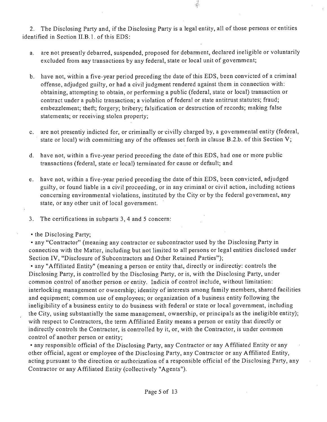2. The Disclosing Party and, if the Disclosing Party is a legal entity, all of those persons or entities identified in Section II.B.1. of this EDS:

a. are not presently debarred, suspended, proposed for debarment, declared ineligible or voluntarily excluded from any transactions by any federal, state or local unit of government;

 $\frac{1}{2}$ 

- b. have not, within a five-year period preceding the date of this EDS, been convicted of a criminal offense, adjudged guilty, or had a civil judgment rendered against them in connection with: obtaining, attempting to obtain, or performing a public (federal, state or local) transaction or contract under a public transaction; a violation of federal or state antitrust statutes; fraud; embezzlement; theft; forgery; bribery; falsification or destruction of records; making false statements; or receiving stolen property;
- c. are not presentiy indicted for, or criminally or civilly charged by, a governmental entity (federal, state or local) with committing any of the offenses set forth in clause B.2.b. of this Section V;
- d. have not, within a five-year period preceding the date of this EDS, had one or more public transactions (federal, state or local) terminated for cause or default; and
- e. have not, within a five-year period preceding the date of this EDS, been convicted, adjudged guilty, or found liable in a civil proceeding, or in any criminal or civil action, including actions concerning environmental violations, instituted by the City or by the federal government, any state, or any other unit of local government.
- 3. The certifications in subparts 3, 4 and 5 concern;
- the Disclosing Party;

• any "Contractor" (meaning any contractor or subcontractor used by the Disclosing Party in connection with the Matter, including but not limited to all persons or legal entities disclosed under Section IV, "Disclosure of Subcontractors and Other Retained Parties");

• any "Affiliated Entity" (meaning a person or entity that, directly or indirectiy: controls the Disclosing Party, is controlled by the Disclosing Party, or is, with the Disclosing Party, under common control of another person or entity. Indicia of control include, without limitation: interlocking management or ownership; identity of interests among family members, shared facilities and equipment; common use of employees; or organization of a business entity following the ineligibility of a business entity to do business with federal or state or local government, including the City, using substantially the same management, ownership, or principals as the ineligible entity); with respect to Contractors, the term Affiliated Entity means a person or entity that directly or indirectly controls the Contractor, is controlled by it, or, with the Contractor, is under common control of another person or entity;

• any responsible official of the Disclosing Party, any Contractor or any Affiliated Entity or any other official, agent or employee of the Disclosing Party, any Contractor or any Affiliated Entity, acting pursuant to the direction or authorization of a responsible official of the Disclosing Party, any Contractor or any Affiliated Entity (collectively "Agents").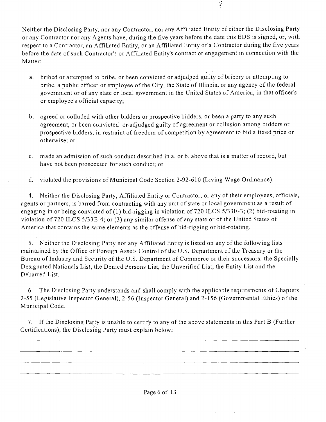Neither the Disclosing Party, nor any Contractor, nor any Affiliated Entity of either the Disclosing Party or any Contractor nor any Agents have, during the five years before the date this EDS is signed, or, with respect to a Contractor, an Affiliated Entity, or an Affiliated Entity of a Contractor during the five years before the date of such Contractor's or Affiliated Entity's contract or engagement in connection with the Matter:

i.

- a. bribed or attempted to bribe, or been convicted or adjudged guilty of bribery or attempting to bribe, a public officer or employee of the City, the State of Illinois, or any agency of the federal government or of any state or local government in the United States of America, in that officer's or employee's official capacity;
- b. agreed or colluded with other bidders or prospective bidders, or been a party to any such agreement, or been convicted or adjudged guilty of agreement or collusion among bidders or prospective bidders, in restraint of freedom of competition by agreement to bid a fixed price or otherwise; or
- c. made an admission of such conduct described in a. or b. above that is a matter of record, but have not been prosecuted for such conduct; or
- d. violated the provisions of Municipal Code Section 2-92-610 (Living Wage Ordinance).

4. Neither the Disclosing Party, Affiliated Entity or Contractor, or any of their employees, officials, agents or partners, is barred from contracting with any unit of state or local government as a result of engaging in or being convicted of (1) bid-rigging in violation of 720 ILCS 5/33E-3; (2) bid-rotating in violation of 720 ILCS 5/33E-4; or (3) any similar offense of any state or of the United States of America that contains the same elements as the offense of bid-rigging or bid-rotating.

5. Neither the Disclosing Party nor any Affiliated Entity is listed on any of the following lists maintained by the Office of Foreign Assets Control of the U.S. Department of the Treasury or the Bureau of Industry and Security of the U.S. Department of Commerce or their successors; the Specially Designated Nationals List, the Denied Persons List, the Unverified List, the Entity List and the Debarred List.

6. The Disclosing Party understands and shall comply with the applicable requirements of Chapters 2-55 (Legislative Inspector General), 2-56 (Inspector General) and 2-156 (Governmental Ethics) of the Municipal Code.

7. If the Disclosing Party is unable to certify to any of the above statements in this Part B (Further Certifications), the Disclosing Party must explain below:

Â.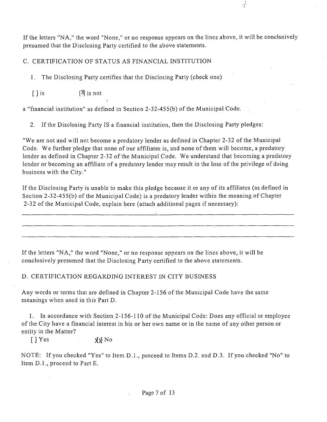If the letters "NA, " the word "None," or no response appears on the lines above, it will be conclusively presumed that the Disclosing Party certified to the above statements.

 $\frac{1}{2}$ 

# C. CERTIFICATION OF STATUS AS FINANCIAL INSTITUTION

1. The Disclosing Party certifies that the Disclosing Party (check one)

 $[ \ ]$  is  $[ \ ]$  is not

a "financial institution" as defined in Section 2-32-455(b) of the Municipal Code.

2. If the Disclosing Party IS a financial institution, then the Disclosing Party pledges:

"We are not and will not become a predatory lender as defined in Chapter 2-32 of the Municipal Code. We further pledge that none of our affiliates is, and none of them will become, a predatory lender as defined in Chapter 2-32 of the Municipal Code. We understand that becoming a predatory lender or becoming an affiliate of a predatory lender may result in the loss of the privilege of doing business with the City."

If the Disclosing Party is unable to make this pledge because it or any of its affiliates (as defined in Section 2-32-455(b) of the Municipal Code) is a predatory lender within the meaning of Chapter 2-32 of the Municipal Code, explain here (attach additional pages if necessary):

If the letters "NA," the word "None," or no response appears on the lines above, it will be conclusively presumed that the Disclosing Party certified to the above statements.

# D. CERTIFICATION REGARDING INTEREST IN CITY BUSINESS

Any words or terms that are defined in Chapter 2-156 of the Municipal Code have the same meanings when used in this Part D.

1. In accordance with Section 2-156-110 of the Municipal Code: Does any official or employee of the City have a financial interest in his or her own name or in the name of any other person or entity in the Matter?

[ ] Yes  $\chi_{\rm N}$  No

NOTE: If you checked "Yes" to Item D.L , proceed to Items D.2. and D.3. If you checked "No" to Item D.l. , proceed to Part E.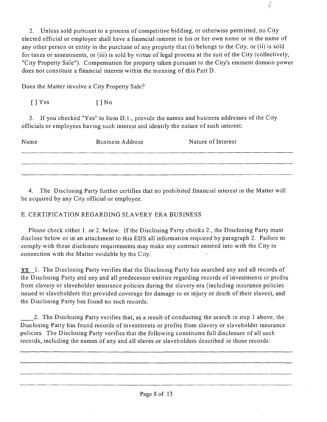2. Unless sold pursuant to a process of competitive bidding, or otherwise permitted, no City elected official or employee shall have a financial interest in his or her own name or in the name of any other person or entity in the purchase of any property that (i) belongs to the City, or (ii) is sold for taxes or assessments, or (iii) is sold by virtue of legal process at the suit of the City (collectively, "City Property Sale"). Compensation for property taken pursuant to the City's eminent domain power does not constitute a financial interest within the meaning of this Part D.

Does the Matter involve a City Property Sale?

 $[ ]$  Yes  $[ ]$  No

3. If you checked "Yes" to Item D.l. , provide the names and business addresses of the City officials or employees having such interest and identify the nature of such interest:

| Name | <b>Business Address</b> | Nature of Interest |
|------|-------------------------|--------------------|
|      |                         |                    |
|      |                         |                    |

4. The Disclosing Party further certifies that no prohibited financial interest in the Matter will be acquired by any City official or employee.

# E. CERTIFICATION REGARDING SLAVERY ERA BUSINESS

Please check either 1. or 2. below. If the Disclosing Party checks 2., the Disclosing Party must disclose below or in an attachment to this EDS all information required by paragraph 2. Failure to comply with these disclosure requirements may make any contract entered into with the City in connection with the Matter voidable by the City.

XX I. The Disclosing Party verifies that the Disclosing Party has searched any and all records of the Disclosing Party and any and all predecessor entities regarding records of investments or profits from slavery or slaveholder insurance policies during the slavery era (including insurance policies issued to slaveholders that provided coverage for damage to or injury or death of their slaves), and the Disclosing Party has found no such records.

2. The Disclosing Party verifies that, as a result of conducting the search in step 1 above, the Disclosing Party has found records of investments or profits from slavery or slaveholder insurance policies. The Disclosing Party verifies that the following constitutes full disclosure of all such records, including the names of any and all slaves or slaveholders described in those records: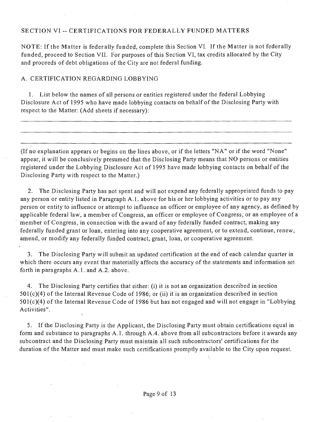## SECTION VI -- CERTIFICATIONS FOR FEDERALLY FUNDED MATTERS

NOTE: If the Matter is federally funded, complete this Section VI. If the Matter is not federally funded, proceed to Section VII. For purposes of this Section VI, tax credits allocated by the City and proceeds of debt obligations of the City are not federal funding.

## A. CERTIFICATION REGARDING LOBBYING

1. List below the names of all persons or entities registered under the federal Lobbying Disclosure Act of 1995 who have made lobbying contacts on behalf of the Disclosing Party with respect to the Matter: (Add sheets if necessary):

(If no explanation appears or begins on the lines above, or if the letters "NA" or if the word "None" appear, it will be conclusively presumed that the Disclosing Party means that NO persons or entities registered under the Lobbying Disclosure Act of 1995 have made lobbying contacts on behalf of the Disclosing Party with respect to the Matter.)

2. The Disclosing Party has not spent and will not expend any federally appropriated funds to pay any person or entity listed in Paragraph A.l . above for his or her lobbying activities or to pay any person or entity to influence or attempt to influence an officer or employee of any agency, as defined by applicable federal law, a member of Congress, an officer or employee of Congress, or an employee of a member of Congress, in connection with the award of any federally funded contract, making any federally funded grant or loan, entering into any cooperative agreement, or to extend, continue, renew, amend, or modify any federally funded contract, grant, loan, or cooperative agreement.

3. The Disclosing Party will submit an updated certification at the end of each calendar quarter in which there occurs any event that materially affects the accuracy of the statements and information set forth in paragraphs A.1. and A.2. above.

4. The Disclosing Party certifies that either: (i) it is not an organization described in section  $501(c)(4)$  of the Internal Revenue Code of 1986; or (ii) it is an organization described in section 501(c)(4) of the Internal Revenue Code of 1986 but has not engaged and will not engage in "Lobbying Activities".

5. Ifthe Disclosing Party is the Applicant, the Disclosing Party must obtain certifications equal in form and substance to paragraphs A.l . through A.4. above from all subcontractors before it awards any subcontract and the Disclosing Party must maintain all such subcontractors' certifications for the duration of the Matter and must make such certifications promptly available to the City upon request.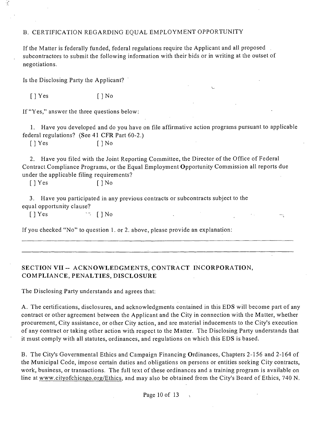## B. CERTIFICATION REGARDING EQUAL EMPLOYMENT OPPORTUNITY

If the Matter is federally funded, federal regulations require the Applicant and all proposed subcontractors to submit the following information with their bids or in writing at the outset of negotiations.

Is the Disclosing Party the Applicant?

 $\mathcal{L}$ 

 $[$   $]$  Yes  $[$   $]$  No

If "Yes," answer the three questions below:

1. Have you developed and do you have on file affirmative action programs pursuant to applicable federal regulations? (See 41 CFR Part 60-2.)

 $[$  | Yes  $[$  | No

2. Have you filed with the Joint Reporting Committee, the Director of the Office of Federal Contract Compliance Programs, or the Equal Employment Opportunity Commission all reports due under the applicable filing requirements?

÷,

[ ] Yes [ ] No

3. Have you participated in any previous contracts or subcontracts subject to the equal opportunity clause?

 $[$  ] Yes  $\qquad \qquad$   $\qquad$   $[$   $]$  No

If you checked "No" to question 1. or 2. above, please provide an explanation:

# **SECTION VII - ACKNOWLEDGMENTS, CONTRACT INCORPORATION, COMPLIANCE, PENALTIES, DISCLOSURE**

The Disclosing Party understands and agrees that:

A. The certifications, disclosures, and acknowledgments contained in this EDS will become part of any contract or other agreement between the Applicant and the City in connection with the Matter, whether procurement. City assistance, or other City action, and are material inducements to the City's execution of any contract or taking other action with respect to the Matter. The Disclosing Party understands that it must comply with all statutes, ordinances, and regulations on which this EDS is based.

B. The City's Governmental Ethics and Campaign Financing Ordinances, Chapters 2-156 and 2-164 of the Municipal Code, impose certain duties and obligations on persons or entities seeking City contracts, work, business, or transactions. The full text of these ordinances and a training program is available on line at www.cityofchicago.org/Ethics, and may also be obtained from the City's Board of Ethics, 740 N.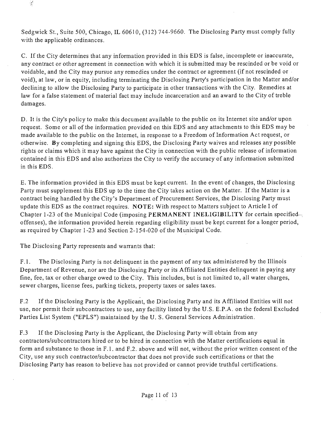Sedgwick St., Suite 500, Chicago, IL 60610, (312) 744-9660. The Disclosing Party must comply fully with the applicable ordinances.

C. If the City determines that any information provided in this EDS is false, incomplete or inaccurate, any contract or other agreement in connection with which it is submitted may be rescinded or be void or voidable, and the City may pursue any remedies under the contract or agreement (if not rescinded or void), at law, or in equity, including terminating the Disclosing Party's participation in the Matter and/or declining to allow the Disclosing Party to participate in other transactions with the City. Remedies at law for a false statement of material fact may include incarceration and an award to the City of treble damages.

D. It is the City's policy to make this document available to the public on its Internet site and/or upon request. Some or all of the information provided on this EDS and any attachments to this EDS may be made available to the public on the Internet, in response to a Freedom of Information Act request, or otherwise. By completing and signing this EDS, the Disclosing Party waives and releases any possible rights or claims which it may have against the City in connection with the public release of information Contained in this EDS and also authorizes the City to verify the accuracy of any information submitted in this EDS.

E. The information provided in this EDS must be kept current. In the event of changes, the Disclosing Party must supplement this EDS up to the time the City takes action on the Matter. If the Matter is a contract being handled by the City's Department of Procurement Services, the Disclosing Party must update this EDS as the contract requires. NOTE: With respect to Matters subject to Article I of Chapter 1-23 of the Municipal Code (imposing PERMANENT INELIGIBILITY for certain specifiedoffenses), the information provided herein regarding eligibility must be kept current for a longer period, as required by Chapter 1-23 and Section 2-154-020 of the Municipal Code.

The Disclosing Party represents and warrants that:

F.1. The Disclosing Party is not delinquent in the payment of any tax administered by the Illinois Department of Revenue, nor are the Disclosing Party or its Affiliated Entities delinquent in paying any fine, fee, tax or other charge owed to the City. This includes, but is not limited to, all water charges, sewer charges, license fees, parking tickets, property taxes or sales taxes.

F.2 If the Disclosing Party is the Applicant, the Disclosing Party and its Affiliated Entities will not use, nor permit their subcontractors to use, any facility listed by the U.S. E.P.A. on the federal Excluded Parties List System ("EPLS") maintained by the U. S. General Services Administration.

F.3 If the Disclosing Party is the Applicant, the Disclosing Party will obtain from any contractors/subcontractors hired or to be hired in connection with the Matter certifications equal in form and substance to those in F.1. and F.2. above and will not, without the prior written consent of the City, use any such contractor/subcontractor that does not provide such certifications or that the Disclosing Party has reason to believe has not provided or cannot provide truthful certifications.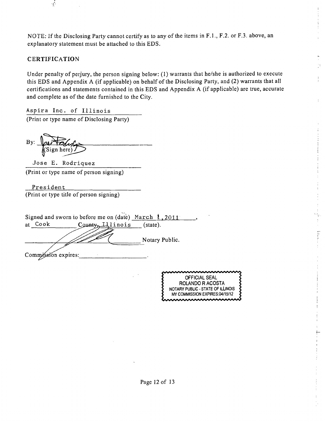NOTE: If the Disclosing Party cannot certify as to any of the items in F.L, F.2. or F.3. above, an explanatory statement must be attached to this EDS.

## **CERTIFICATION**

 $\mathcal{L}$ 

Under penalty of perjury, the person signing below: (1) warrants that he/she is authorized to execute this EDS and Appendix A (if applicable) on behalf ofthe Disclosing Party, and (2) warrants that all certifications and statements contained in this EDS and Appendix A (if applicable) are true, accurate and complete as of the date furnished to the City.

Aspira Inc. of Illinois (Print or type name of Disclosing Party)

 $Bv:$ WSign here)

Jose E. Rodriquez (Print or type name of person signing)

President (Print or type title of person signing)

|    |      | Signed and sworn to before me on (date) March $\ell$ , 2011 |                    |
|----|------|-------------------------------------------------------------|--------------------|
| at | Cook | Цlinois<br>County                                           | $(\text{state})$ . |
|    |      |                                                             | Notary Public.     |
|    |      | Commission expires:                                         |                    |

OFFICIAL SEAL ROLANDO R ACOSTA NOTARY PUBLIC - STATE OF ILLINOIS MY COMMISSION EXPIRES:04/15/12

þ

 $\vdots$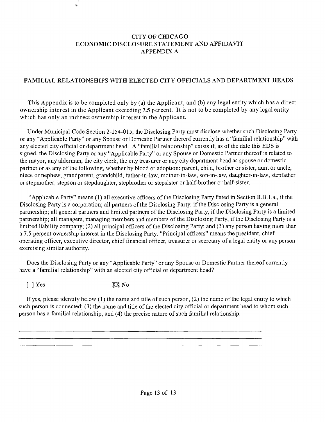## **CITY OF CHICAGO ECONOMIC DISCLOSURE STATEMENT AND AFFIDAVIT APPENDIX A**

# **FAMILIAL RELATIONSHIPS WITH ELECTED CITY OFFICIALS AND DEPARTMENT HEADS**

**This Appendix is to be completed only by (a) the Applicant, and (b) any legal entity which has a direct ownership interest in the Applicant exceeding 7.5 percent. It is not to be completed by any legal entity which has only an indirect ownership interest in the Applicant.** 

Under Municipal Code Section 2-154-015, the Disclosing Party must disclose whether such Disclosing Party or any "Applicable Party" or any Spouse or Domestic Partner thereof currently has a "familial relationship" with any elected city official or department head. A "familial relationship" exists if, as of the date this EDS is signed, the Disclosing Party or any "Applicable Party" or any Spouse or Domestic Partner thereof is related to the mayor, any alderman, the city clerk, the city treasurer or any city department head as spouse or domestic partner or as any of the following, whether by blood or adoption: parent, child, brother or sister, aunt or uncle, niece or nephew, grandparent, grandchild, father-in-law, mother-in-law, son-in-law, daughter-in-law, stepfather or stepmother, stepson or stepdaughter, stepbrother or stepsister or half-brother or half-sister.  $\mathcal{L}_{\mathcal{L}}$  $\mathcal{L}_{\rm{max}}$ 

"Apphcable Party" means (1) all executive officers of the Disclosing Party fisted in Section II.B. l.a., if the Disclosing Party is a corporation; all partners of the Disclosing Party, if the Disclosing Party is a general partnership; all general partners and limited partners of the Disclosing Party, if the Disclosing Party is a limited partnership; all managers, managing members and members of the Disclosing Party, if the Disclosing Party is a limited liability company; (2) all principal officers of the Disclosing Party; and (3) any person having more than a 7.5 percent ownership interest in the Disclosing Party. "Principal officers" means the president, chief operating officer, executive director, chief financial officer, treasurer or secretary of a legal entity or any person exercising similar authority.

Does the Disclosing Party or any "Applicable Party" or any Spouse or Domestic Partner thereof currently have a "familial relationship" with an elected city official or department head?

[ ] Yes XX No

 $\frac{1}{2}$ 

If yes, please identify below (1) the name and title of such person, (2) the name of the legal entity to which such person is connected; (3) the name and titie of the elected city official or department head to whom such person has a familial relationship, and (4) the precise nature of such familial relationship.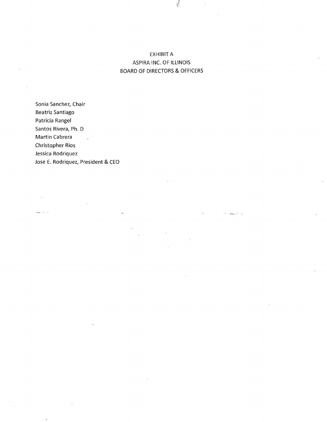# EXHIBIT A ASPIRA INC. OF ILLINOIS BOARD OF DIRECTORS & OFFICERS

Sonia Sanchez, Chair Beatriz Santiago Patricia Rangel Santos Rivera, Ph. D Martin Cabrera Christopher Rios Jessica Rodriquez Jose E. Rodriquez, President & CEO

وأرادتهم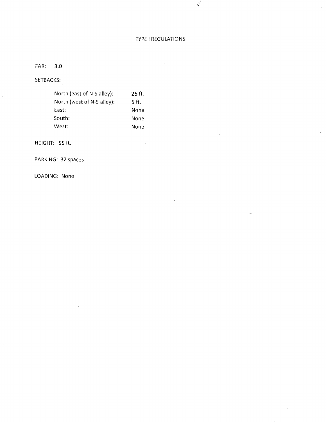## ryPE I REGULATIONS

 $\frac{1}{2}$ 

FAR: 3.0

SETBACKS:

| North (east of N-S alley): | 25 ft. |
|----------------------------|--------|
| North (west of N-S alley): | 5 ft.  |
| East:                      | None   |
| South:                     | None   |
| West:                      | None   |

HEIGHT: 55 ft.

PARKING: 32 spaces

LOADING: None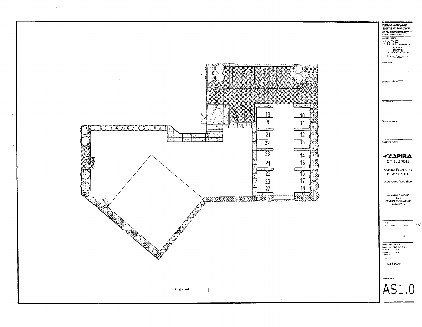